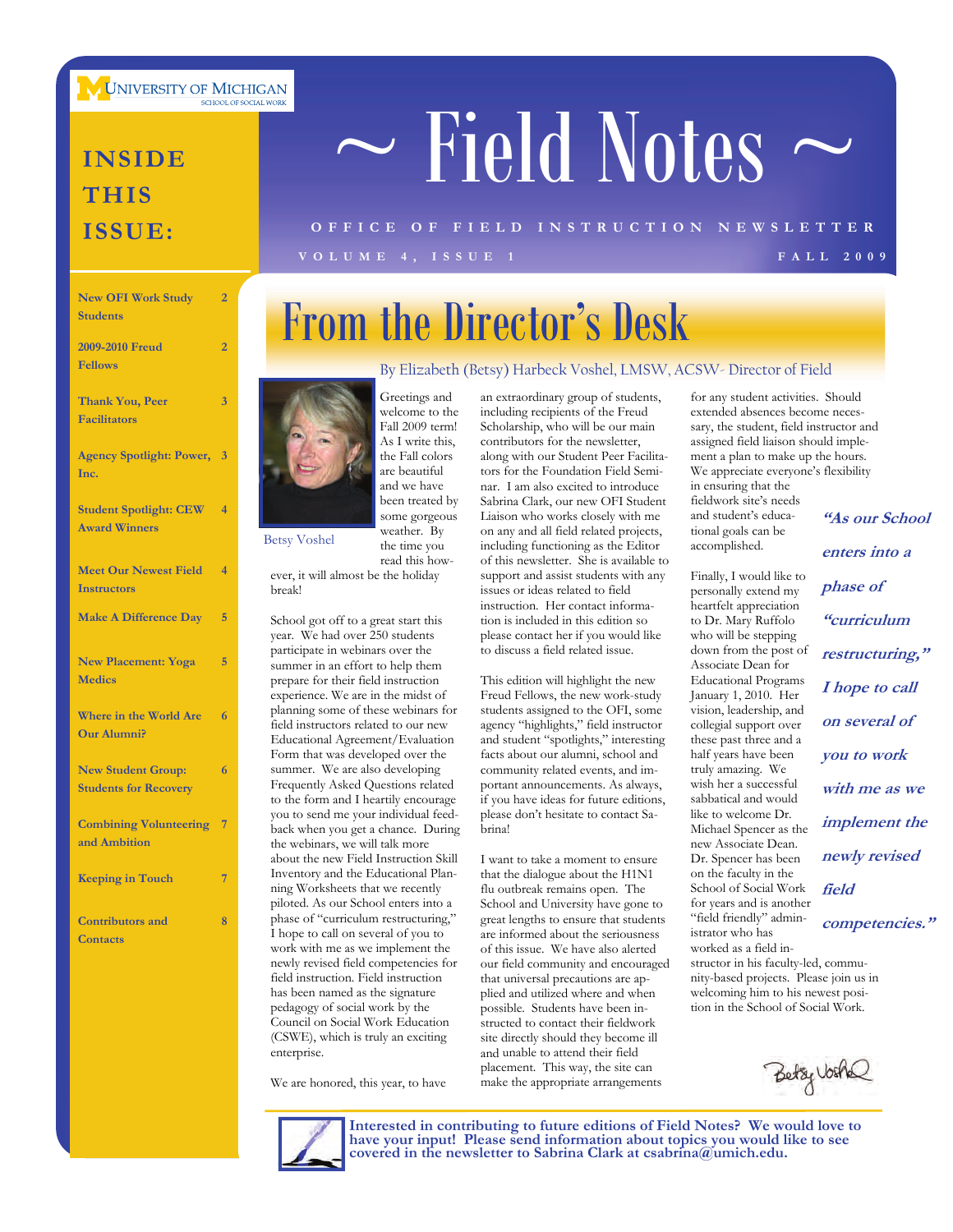**UNIVERSITY OF MICHIGAN** 

### **INSIDE THIS ISSUE:**

| <b>New OFI Work Study</b><br><b>Students</b>              | $\overline{2}$ |
|-----------------------------------------------------------|----------------|
| 2009-2010 Freud<br><b>Fellows</b>                         | $\overline{2}$ |
| <b>Thank You, Peer</b><br><b>Facilitators</b>             | 3              |
| <b>Agency Spotlight: Power,</b><br>Inc.                   | $\overline{3}$ |
| <b>Student Spotlight: CEW</b><br><b>Award Winners</b>     | 4              |
| <b>Meet Our Newest Field</b><br><b>Instructors</b>        | $\overline{4}$ |
| <b>Make A Difference Day</b>                              | 5              |
| <b>New Placement: Yoga</b><br><b>Medics</b>               | 5              |
| Where in the World Are<br><b>Our Alumni?</b>              | 6              |
| <b>New Student Group:</b><br><b>Students for Recovery</b> | 6              |
| <b>Combining Volunteering</b><br>and Ambition             | 7              |
| <b>Keeping in Touch</b>                                   | 7              |
| <b>Contributors</b> and<br><b>Contacts</b>                | 8              |

# $\sim$  Field Notes  $\sim$

### **VOLUME 4, ISSUE 1 FALL 2009 OFFICE OF FIELD INSTRUCTION NEWSLETTER**

## From the Director's Desk

### By Elizabeth (Betsy) Harbeck Voshel, LMSW, ACSW- Director of Field



Greetings and welcome to the Fall 2009 term! As I write this, the Fall colors are beautiful and we have been treated by some gorgeous weather. By the time you

read this however, it will almost be the holiday break!

School got off to a great start this year. We had over 250 students participate in webinars over the summer in an effort to help them prepare for their field instruction experience. We are in the midst of planning some of these webinars for field instructors related to our new Educational Agreement/Evaluation Form that was developed over the summer. We are also developing Frequently Asked Questions related to the form and I heartily encourage you to send me your individual feedback when you get a chance. During the webinars, we will talk more about the new Field Instruction Skill Inventory and the Educational Planning Worksheets that we recently piloted. As our School enters into a phase of "curriculum restructuring," I hope to call on several of you to work with me as we implement the newly revised field competencies for field instruction. Field instruction has been named as the signature pedagogy of social work by the Council on Social Work Education (CSWE), which is truly an exciting enterprise.

We are honored, this year, to have

an extraordinary group of students, including recipients of the Freud Scholarship, who will be our main contributors for the newsletter, along with our Student Peer Facilitators for the Foundation Field Seminar. I am also excited to introduce Sabrina Clark, our new OFI Student Liaison who works closely with me on any and all field related projects, including functioning as the Editor of this newsletter. She is available to support and assist students with any issues or ideas related to field instruction. Her contact information is included in this edition so please contact her if you would like to discuss a field related issue.

This edition will highlight the new Freud Fellows, the new work-study students assigned to the OFI, some agency "highlights," field instructor and student "spotlights," interesting facts about our alumni, school and community related events, and important announcements. As always, if you have ideas for future editions, please don't hesitate to contact Sabrina!

I want to take a moment to ensure that the dialogue about the H1N1 flu outbreak remains open. The School and University have gone to great lengths to ensure that students are informed about the seriousness of this issue. We have also alerted our field community and encouraged that universal precautions are applied and utilized where and when possible. Students have been instructed to contact their fieldwork site directly should they become ill and unable to attend their field placement. This way, the site can make the appropriate arrangements

for any student activities. Should extended absences become necessary, the student, field instructor and assigned field liaison should implement a plan to make up the hours. We appreciate everyone's flexibility in ensuring that the fieldwork site's needs

and student's educational goals can be

accomplished. Finally, I would like to personally extend my heartfelt appreciation to Dr. Mary Ruffolo who will be stepping down from the post of Associate Dean for Educational Programs January 1, 2010. Her vision, leadership, and collegial support over these past three and a half years have been truly amazing. We wish her a successful sabbatical and would like to welcome Dr. Michael Spencer as the new Associate Dean. Dr. Spencer has been on the faculty in the School of Social Work for years and is another "field friendly" administrator who has worked as a field in-

**"As our School enters into a phase of "curriculum restructuring," I hope to call on several of you to work with me as we implement the newly revised field competencies."**

nity-based projects. Please join us in welcoming him to his newest position in the School of Social Work.

structor in his faculty-led, commu-





**Interested in contributing to future editions of Field Notes? We would love to have your input! Please send information about topics you would like to see covered in the newsletter to Sabrina Clark at csabrina@umich.edu.**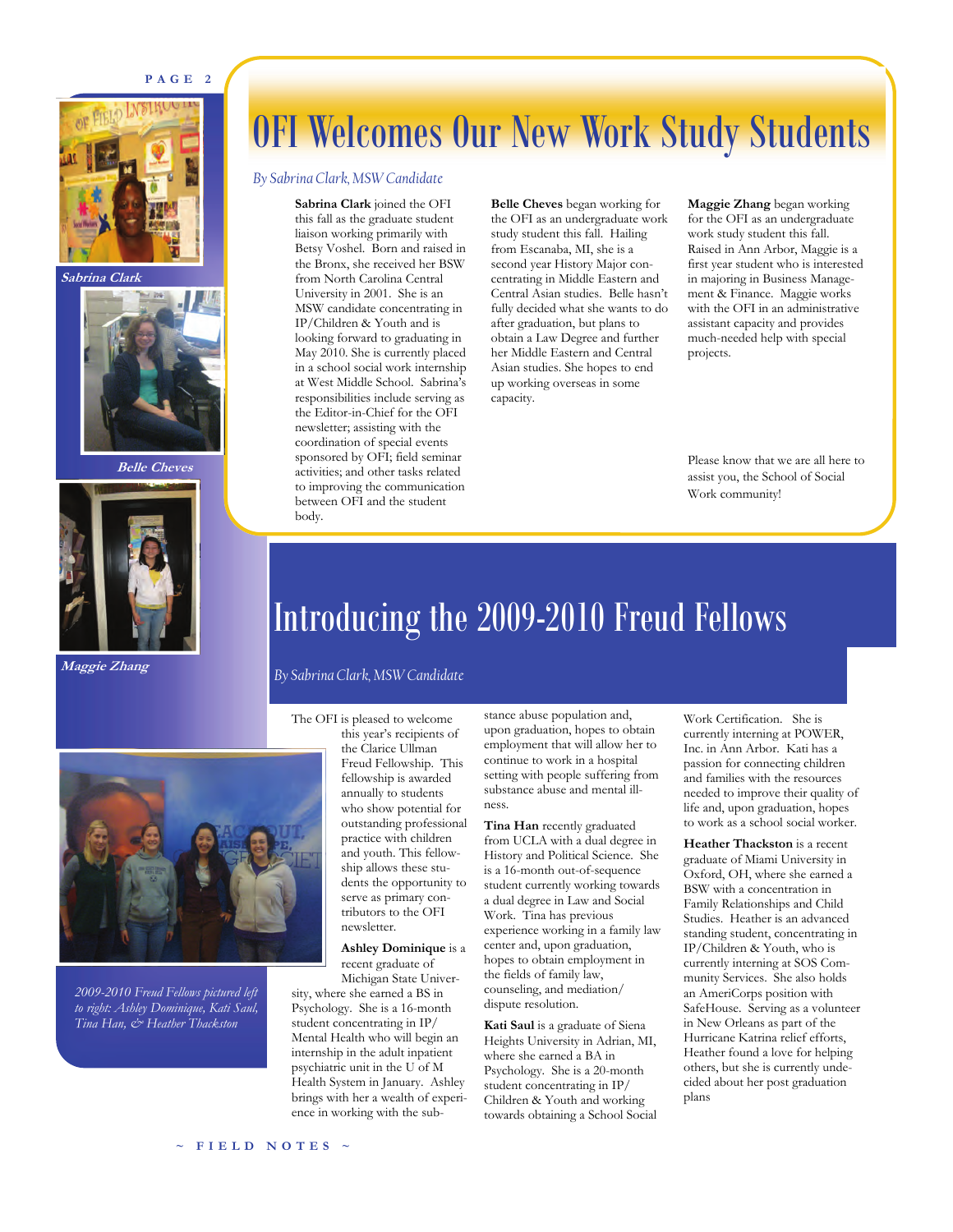### **PAGE 2**



**Sabrina Clark** 



**Belle Cheves** 



**Maggie Zhang** 

## OFI Welcomes Our New Work Study Students

### *By Sabrina Clark, MSW Candidate*

**Sabrina Clark** joined the OFI this fall as the graduate student liaison working primarily with Betsy Voshel. Born and raised in the Bronx, she received her BSW from North Carolina Central University in 2001. She is an MSW candidate concentrating in IP/Children & Youth and is looking forward to graduating in May 2010. She is currently placed in a school social work internship at West Middle School. Sabrina's responsibilities include serving as the Editor-in-Chief for the OFI newsletter; assisting with the coordination of special events sponsored by OFI; field seminar activities; and other tasks related to improving the communication between OFI and the student body.

**Belle Cheves** began working for the OFI as an undergraduate work study student this fall. Hailing from Escanaba, MI, she is a second year History Major concentrating in Middle Eastern and Central Asian studies. Belle hasn't fully decided what she wants to do after graduation, but plans to obtain a Law Degree and further her Middle Eastern and Central Asian studies. She hopes to end up working overseas in some capacity.

**Maggie Zhang** began working for the OFI as an undergraduate work study student this fall. Raised in Ann Arbor, Maggie is a first year student who is interested in majoring in Business Management & Finance. Maggie works with the OFI in an administrative assistant capacity and provides much-needed help with special projects.

Please know that we are all here to assist you, the School of Social Work community!

## Introducing the 2009-2010 Freud Fellows

### *By Sabrina Clark, MSW Candidate*

### The OFI is pleased to welcome

this year's recipients of the Clarice Ullman Freud Fellowship. This fellowship is awarded annually to students who show potential for outstanding professional practice with children and youth. This fellowship allows these students the opportunity to serve as primary contributors to the OFI newsletter.

### **Ashley Dominique** is a recent graduate of

Michigan State University, where she earned a BS in Psychology. She is a 16-month student concentrating in IP/ Mental Health who will begin an internship in the adult inpatient psychiatric unit in the U of M Health System in January. Ashley brings with her a wealth of experience in working with the sub-

stance abuse population and, upon graduation, hopes to obtain employment that will allow her to continue to work in a hospital setting with people suffering from substance abuse and mental illness.

**Tina Han** recently graduated from UCLA with a dual degree in History and Political Science. She is a 16-month out-of-sequence student currently working towards a dual degree in Law and Social Work. Tina has previous experience working in a family law center and, upon graduation, hopes to obtain employment in the fields of family law, counseling, and mediation/ dispute resolution.

**Kati Saul** is a graduate of Siena Heights University in Adrian, MI, where she earned a BA in Psychology. She is a 20-month student concentrating in IP/ Children & Youth and working towards obtaining a School Social Work Certification. She is currently interning at POWER, Inc. in Ann Arbor. Kati has a passion for connecting children and families with the resources needed to improve their quality of life and, upon graduation, hopes to work as a school social worker.

**Heather Thackston** is a recent graduate of Miami University in Oxford, OH, where she earned a BSW with a concentration in Family Relationships and Child Studies. Heather is an advanced standing student, concentrating in IP/Children & Youth, who is currently interning at SOS Community Services. She also holds an AmeriCorps position with SafeHouse. Serving as a volunteer in New Orleans as part of the Hurricane Katrina relief efforts, Heather found a love for helping others, but she is currently undecided about her post graduation plans



*2009-2010 Freud Fellows pictured left to right: Ashley Dominique, Kati Saul, Tina Han, & Heather Thackston*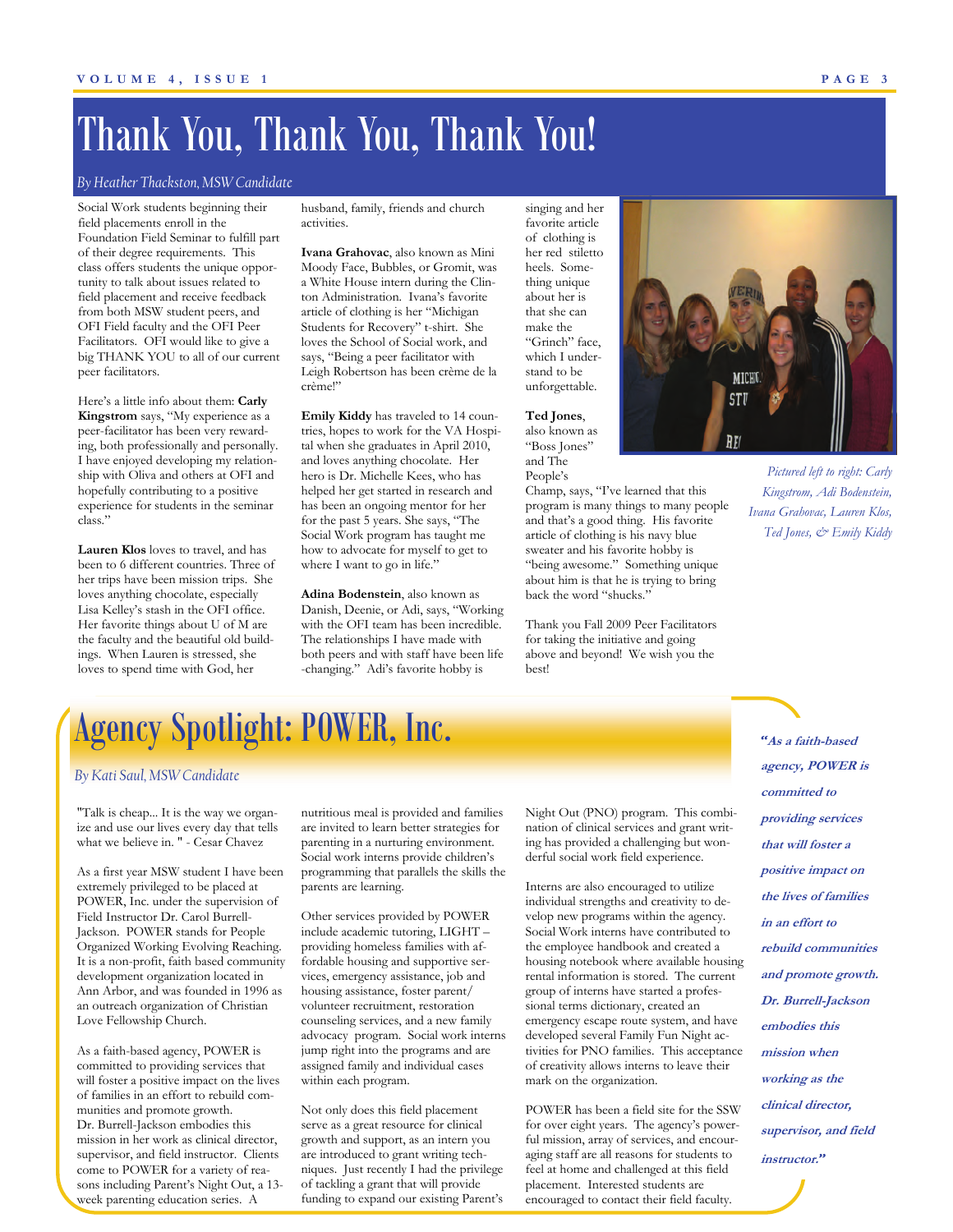## Thank You, Thank You, Thank You!

### *By Heather Thackston, MSW Candidate*

Social Work students beginning their field placements enroll in the Foundation Field Seminar to fulfill part of their degree requirements. This class offers students the unique opportunity to talk about issues related to field placement and receive feedback from both MSW student peers, and OFI Field faculty and the OFI Peer Facilitators. OFI would like to give a big THANK YOU to all of our current peer facilitators.

Here's a little info about them: **Carly Kingstrom** says, "My experience as a peer-facilitator has been very rewarding, both professionally and personally. I have enjoyed developing my relationship with Oliva and others at OFI and hopefully contributing to a positive experience for students in the seminar class."

**Lauren Klos** loves to travel, and has been to 6 different countries. Three of her trips have been mission trips. She loves anything chocolate, especially Lisa Kelley's stash in the OFI office. Her favorite things about U of M are the faculty and the beautiful old buildings. When Lauren is stressed, she loves to spend time with God, her

husband, family, friends and church activities.

**Ivana Grahovac**, also known as Mini Moody Face, Bubbles, or Gromit, was a White House intern during the Clinton Administration. Ivana's favorite article of clothing is her "Michigan Students for Recovery" t-shirt. She loves the School of Social work, and says, "Being a peer facilitator with Leigh Robertson has been crème de la crème!"

**Emily Kiddy** has traveled to 14 countries, hopes to work for the VA Hospital when she graduates in April 2010, and loves anything chocolate. Her hero is Dr. Michelle Kees, who has helped her get started in research and has been an ongoing mentor for her for the past 5 years. She says, "The Social Work program has taught me how to advocate for myself to get to where I want to go in life."

**Adina Bodenstein**, also known as Danish, Deenie, or Adi, says, "Working with the OFI team has been incredible. The relationships I have made with both peers and with staff have been life -changing." Adi's favorite hobby is

singing and her favorite article of clothing is her red stiletto heels. Something unique about her is that she can make the "Grinch" face, which I understand to be unforgettable.

**Ted Jones**, also known as "Boss Jones" and The

People's Champ, says, "I've learned that this program is many things to many people and that's a good thing. His favorite article of clothing is his navy blue sweater and his favorite hobby is "being awesome." Something unique about him is that he is trying to bring back the word "shucks."

Thank you Fall 2009 Peer Facilitators for taking the initiative and going above and beyond! We wish you the best!



*Pictured left to right: Carly Kingstrom, Adi Bodenstein, Ivana Grahovac, Lauren Klos, Ted Jones, & Emily Kiddy* 

## Agency Spotlight: POWER, Inc.

#### *By Kati Saul, MSW Candidate*

"Talk is cheap... It is the way we organize and use our lives every day that tells what we believe in. " - Cesar Chavez

As a first year MSW student I have been extremely privileged to be placed at POWER, Inc. under the supervision of Field Instructor Dr. Carol Burrell-Jackson. POWER stands for People Organized Working Evolving Reaching. It is a non-profit, faith based community development organization located in Ann Arbor, and was founded in 1996 as an outreach organization of Christian Love Fellowship Church.

As a faith-based agency, POWER is committed to providing services that will foster a positive impact on the lives of families in an effort to rebuild communities and promote growth. Dr. Burrell-Jackson embodies this mission in her work as clinical director, supervisor, and field instructor. Clients come to POWER for a variety of reasons including Parent's Night Out, a 13 week parenting education series. A

nutritious meal is provided and families are invited to learn better strategies for parenting in a nurturing environment. Social work interns provide children's programming that parallels the skills the parents are learning.

Other services provided by POWER include academic tutoring, LIGHT – providing homeless families with affordable housing and supportive services, emergency assistance, job and housing assistance, foster parent/ volunteer recruitment, restoration counseling services, and a new family advocacy program. Social work interns jump right into the programs and are assigned family and individual cases within each program.

Not only does this field placement serve as a great resource for clinical growth and support, as an intern you are introduced to grant writing techniques. Just recently I had the privilege of tackling a grant that will provide funding to expand our existing Parent's

Night Out (PNO) program. This combination of clinical services and grant writing has provided a challenging but wonderful social work field experience.

Interns are also encouraged to utilize individual strengths and creativity to develop new programs within the agency. Social Work interns have contributed to the employee handbook and created a housing notebook where available housing rental information is stored. The current group of interns have started a professional terms dictionary, created an emergency escape route system, and have developed several Family Fun Night activities for PNO families. This acceptance of creativity allows interns to leave their mark on the organization.

POWER has been a field site for the SSW for over eight years. The agency's powerful mission, array of services, and encouraging staff are all reasons for students to feel at home and challenged at this field placement. Interested students are encouraged to contact their field faculty.

*"***As a faith-based agency, POWER is committed to providing services that will foster a positive impact on the lives of families in an effort to rebuild communities and promote growth. Dr. Burrell-Jackson embodies this mission when working as the clinical director, supervisor, and field instructor.***"*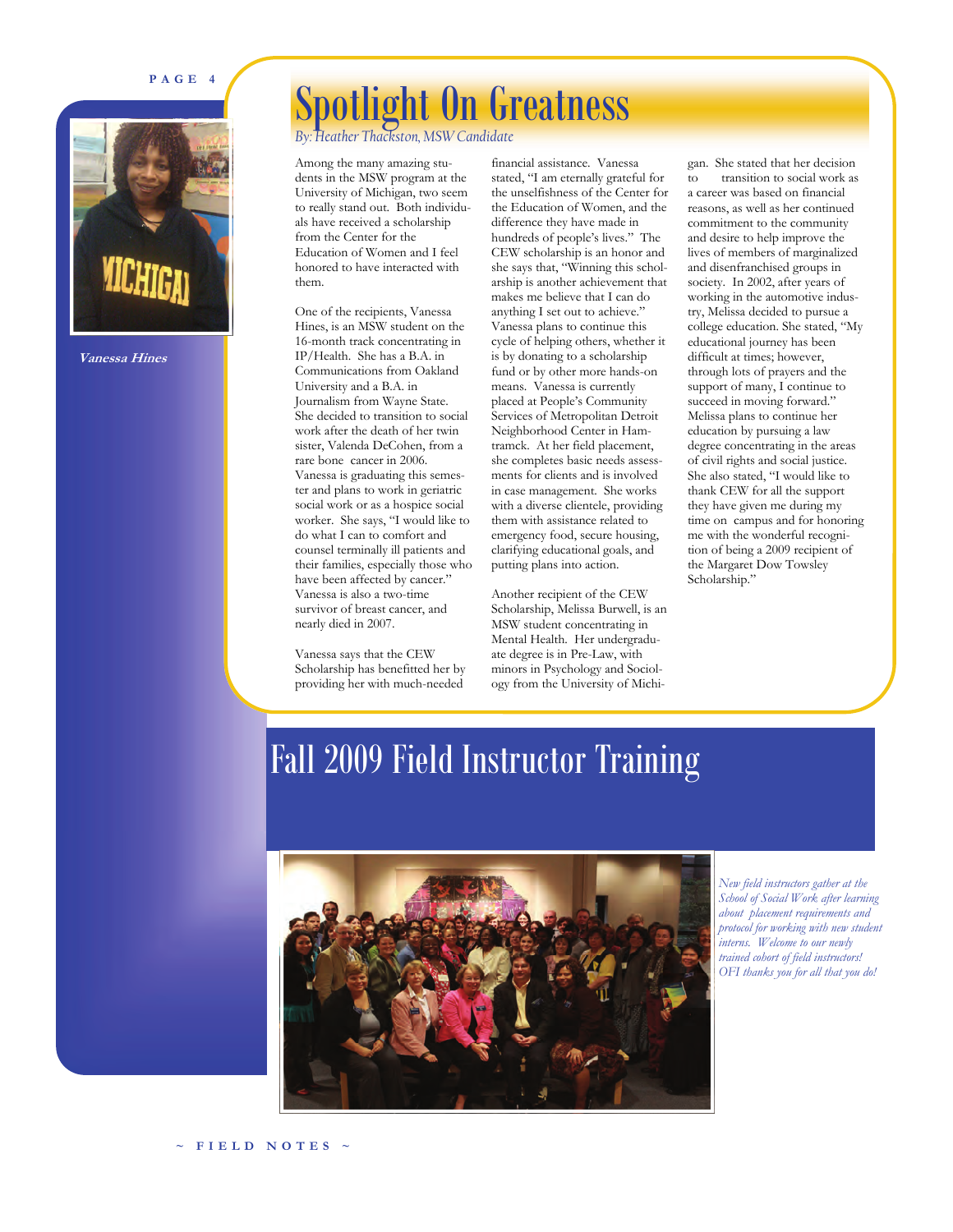### **PAGE 4**



**Vanessa Hines** 

## Spotlight On Greatness

*By: Heather Thackston, MSW Candidate* 

Among the many amazing students in the MSW program at the University of Michigan, two seem to really stand out. Both individuals have received a scholarship from the Center for the Education of Women and I feel honored to have interacted with them.

One of the recipients, Vanessa Hines, is an MSW student on the 16-month track concentrating in IP/Health. She has a B.A. in Communications from Oakland University and a B.A. in Journalism from Wayne State. She decided to transition to social work after the death of her twin sister, Valenda DeCohen, from a rare bone cancer in 2006. Vanessa is graduating this semester and plans to work in geriatric social work or as a hospice social worker. She says, "I would like to do what I can to comfort and counsel terminally ill patients and their families, especially those who have been affected by cancer." Vanessa is also a two-time survivor of breast cancer, and nearly died in 2007.

Vanessa says that the CEW Scholarship has benefitted her by providing her with much-needed

financial assistance. Vanessa stated, "I am eternally grateful for the unselfishness of the Center for the Education of Women, and the difference they have made in hundreds of people's lives." The CEW scholarship is an honor and she says that, "Winning this scholarship is another achievement that makes me believe that I can do anything I set out to achieve.' Vanessa plans to continue this cycle of helping others, whether it is by donating to a scholarship fund or by other more hands-on means. Vanessa is currently placed at People's Community Services of Metropolitan Detroit Neighborhood Center in Hamtramck. At her field placement, she completes basic needs assessments for clients and is involved in case management. She works with a diverse clientele, providing them with assistance related to emergency food, secure housing, clarifying educational goals, and putting plans into action.

Another recipient of the CEW Scholarship, Melissa Burwell, is an MSW student concentrating in Mental Health. Her undergraduate degree is in Pre-Law, with minors in Psychology and Sociology from the University of Michi-

gan. She stated that her decision<br>to transition to social work as transition to social work as a career was based on financial reasons, as well as her continued commitment to the community and desire to help improve the lives of members of marginalized and disenfranchised groups in society. In 2002, after years of working in the automotive industry, Melissa decided to pursue a college education. She stated, "My educational journey has been difficult at times; however, through lots of prayers and the support of many, I continue to succeed in moving forward." Melissa plans to continue her education by pursuing a law degree concentrating in the areas of civil rights and social justice. She also stated, "I would like to thank CEW for all the support they have given me during my time on campus and for honoring me with the wonderful recognition of being a 2009 recipient of the Margaret Dow Towsley Scholarship."

## Fall 2009 Field Instructor Training



*New field instructors gather at the School of Social Work after learning about placement requirements and protocol for working with new student interns. Welcome to our newly trained cohort of field instructors! OFI thanks you for all that you do!*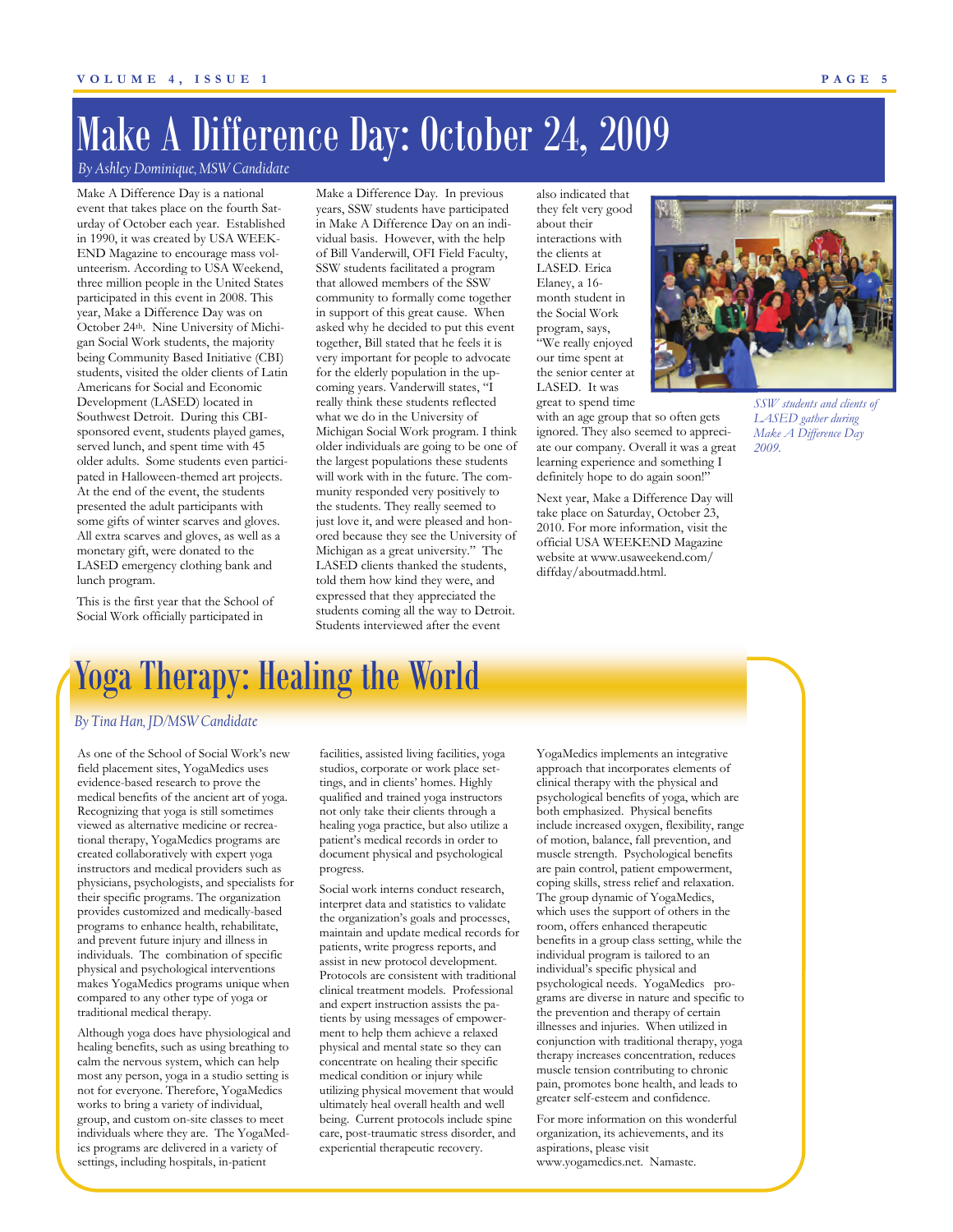## Make A Difference Day: October 24, 2009

*By Ashley Dominique, MSW Candidate* 

Make A Difference Day is a national event that takes place on the fourth Saturday of October each year. Established in 1990, it was created by USA WEEK-END Magazine to encourage mass volunteerism. According to USA Weekend, three million people in the United States participated in this event in 2008. This year, Make a Difference Day was on October 24th. Nine University of Michigan Social Work students, the majority being Community Based Initiative (CBI) students, visited the older clients of Latin Americans for Social and Economic Development (LASED) located in Southwest Detroit. During this CBIsponsored event, students played games, served lunch, and spent time with 45 older adults. Some students even participated in Halloween-themed art projects. At the end of the event, the students presented the adult participants with some gifts of winter scarves and gloves. All extra scarves and gloves, as well as a monetary gift, were donated to the LASED emergency clothing bank and lunch program.

This is the first year that the School of Social Work officially participated in

Make a Difference Day. In previous years, SSW students have participated in Make A Difference Day on an individual basis. However, with the help of Bill Vanderwill, OFI Field Faculty, SSW students facilitated a program that allowed members of the SSW community to formally come together in support of this great cause. When asked why he decided to put this event together, Bill stated that he feels it is very important for people to advocate for the elderly population in the upcoming years. Vanderwill states, "I really think these students reflected what we do in the University of Michigan Social Work program. I think older individuals are going to be one of the largest populations these students will work with in the future. The community responded very positively to the students. They really seemed to just love it, and were pleased and honored because they see the University of Michigan as a great university." The LASED clients thanked the students, told them how kind they were, and expressed that they appreciated the students coming all the way to Detroit. Students interviewed after the event

also indicated that they felt very good about their interactions with the clients at LASED. Erica Elaney, a 16 month student in the Social Work program, says, "We really enjoyed our time spent at the senior center at LASED. It was great to spend time

with an age group that so often gets ignored. They also seemed to appreciate our company. Overall it was a great learning experience and something I definitely hope to do again soon!"

Next year, Make a Difference Day will take place on Saturday, October 23, 2010. For more information, visit the official USA WEEKEND Magazine website at www.usaweekend.com/ diffday/aboutmadd.html.



*SSW students and clients of LASED gather during Make A Difference Day 2009.* 

## Yoga Therapy: Healing the World

### *By Tina Han, JD/MSW Candidate*

As one of the School of Social Work's new field placement sites, YogaMedics uses evidence-based research to prove the medical benefits of the ancient art of yoga. Recognizing that yoga is still sometimes viewed as alternative medicine or recreational therapy, YogaMedics programs are created collaboratively with expert yoga instructors and medical providers such as physicians, psychologists, and specialists for their specific programs. The organization provides customized and medically-based programs to enhance health, rehabilitate, and prevent future injury and illness in individuals. The combination of specific physical and psychological interventions makes YogaMedics programs unique when compared to any other type of yoga or traditional medical therapy.

Although yoga does have physiological and healing benefits, such as using breathing to calm the nervous system, which can help most any person, yoga in a studio setting is not for everyone. Therefore, YogaMedics works to bring a variety of individual, group, and custom on-site classes to meet individuals where they are. The YogaMedics programs are delivered in a variety of settings, including hospitals, in-patient

facilities, assisted living facilities, yoga studios, corporate or work place settings, and in clients' homes. Highly qualified and trained yoga instructors not only take their clients through a healing yoga practice, but also utilize a patient's medical records in order to document physical and psychological progress.

Social work interns conduct research, interpret data and statistics to validate the organization's goals and processes, maintain and update medical records for patients, write progress reports, and assist in new protocol development. Protocols are consistent with traditional clinical treatment models. Professional and expert instruction assists the patients by using messages of empowerment to help them achieve a relaxed physical and mental state so they can concentrate on healing their specific medical condition or injury while utilizing physical movement that would ultimately heal overall health and well being. Current protocols include spine care, post-traumatic stress disorder, and experiential therapeutic recovery.

YogaMedics implements an integrative approach that incorporates elements of clinical therapy with the physical and psychological benefits of yoga, which are both emphasized. Physical benefits include increased oxygen, flexibility, range of motion, balance, fall prevention, and muscle strength. Psychological benefits are pain control, patient empowerment, coping skills, stress relief and relaxation. The group dynamic of YogaMedics, which uses the support of others in the room, offers enhanced therapeutic benefits in a group class setting, while the individual program is tailored to an individual's specific physical and psychological needs. YogaMedics programs are diverse in nature and specific to the prevention and therapy of certain illnesses and injuries. When utilized in conjunction with traditional therapy, yoga therapy increases concentration, reduces muscle tension contributing to chronic pain, promotes bone health, and leads to greater self-esteem and confidence.

For more information on this wonderful organization, its achievements, and its aspirations, please visit www.yogamedics.net. Namaste.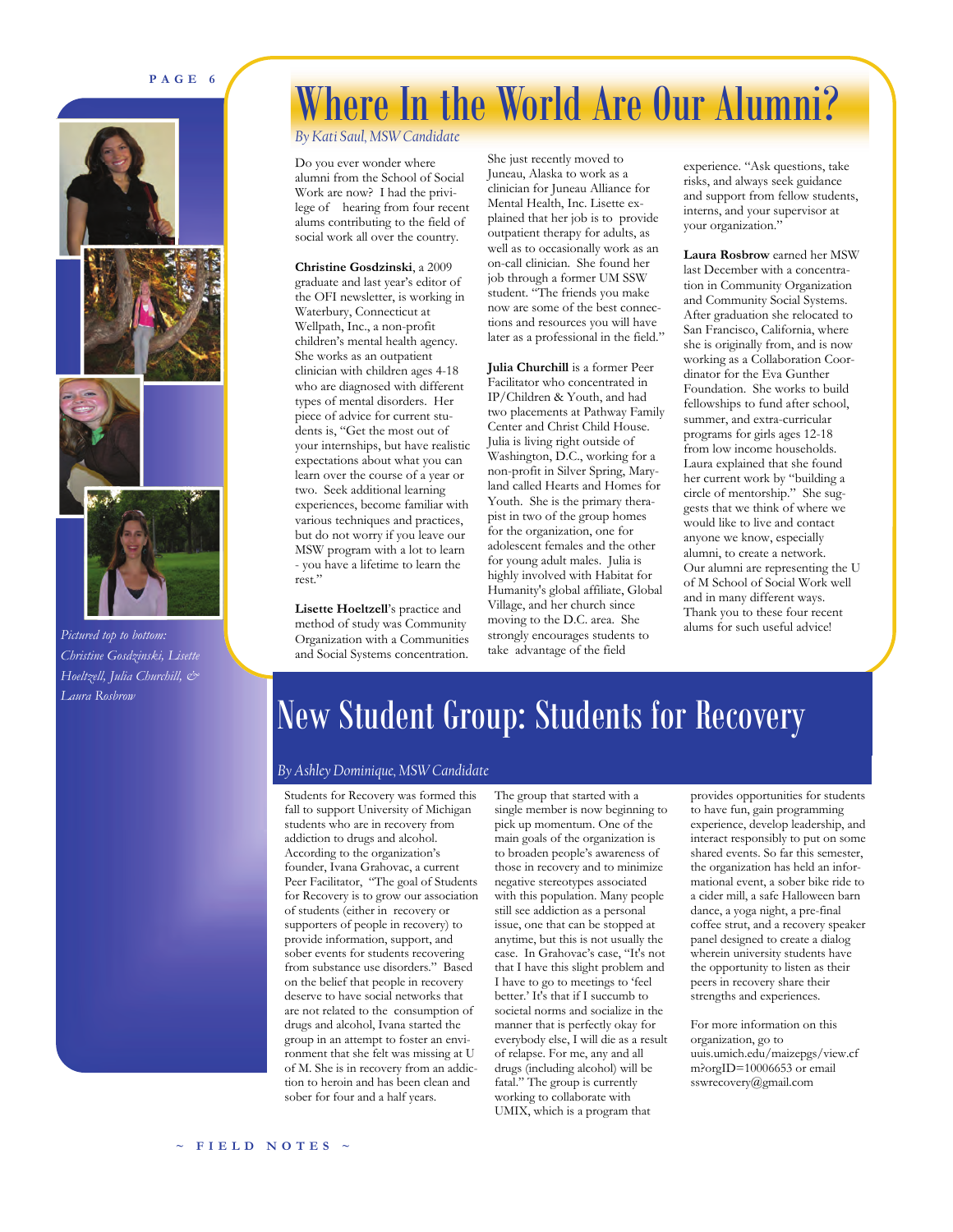### **PAGE 6**







*Pictured top to bottom: Christine Gosdzinski, Lisette Hoeltzell, Julia Churchill, & Laura Rosbrow* 

## Where In the World Are Our Alumni?

*By Kati Saul, MSW Candidate* 

Do you ever wonder where alumni from the School of Social Work are now? I had the privilege of hearing from four recent alums contributing to the field of social work all over the country.

**Christine Gosdzinski**, a 2009 graduate and last year's editor of the OFI newsletter, is working in Waterbury, Connecticut at Wellpath, Inc., a non-profit children's mental health agency. She works as an outpatient clinician with children ages 4-18 who are diagnosed with different types of mental disorders. Her piece of advice for current students is, "Get the most out of your internships, but have realistic expectations about what you can learn over the course of a year or two. Seek additional learning experiences, become familiar with various techniques and practices, but do not worry if you leave our MSW program with a lot to learn - you have a lifetime to learn the rest."

**Lisette Hoeltzell**'s practice and method of study was Community Organization with a Communities and Social Systems concentration.

She just recently moved to Juneau, Alaska to work as a clinician for Juneau Alliance for Mental Health, Inc. Lisette explained that her job is to provide outpatient therapy for adults, as well as to occasionally work as an on-call clinician. She found her job through a former UM SSW student. "The friends you make now are some of the best connections and resources you will have later as a professional in the field."

**Julia Churchill** is a former Peer Facilitator who concentrated in IP/Children & Youth, and had two placements at Pathway Family Center and Christ Child House. Julia is living right outside of Washington, D.C., working for a non-profit in Silver Spring, Maryland called Hearts and Homes for Youth. She is the primary therapist in two of the group homes for the organization, one for adolescent females and the other for young adult males. Julia is highly involved with Habitat for Humanity's global affiliate, Global Village, and her church since moving to the D.C. area. She strongly encourages students to take advantage of the field

experience. "Ask questions, take risks, and always seek guidance and support from fellow students, interns, and your supervisor at your organization."

**Laura Rosbrow** earned her MSW last December with a concentration in Community Organization and Community Social Systems. After graduation she relocated to San Francisco, California, where she is originally from, and is now working as a Collaboration Coordinator for the Eva Gunther Foundation. She works to build fellowships to fund after school, summer, and extra-curricular programs for girls ages 12-18 from low income households. Laura explained that she found her current work by "building a circle of mentorship." She suggests that we think of where we would like to live and contact anyone we know, especially alumni, to create a network. Our alumni are representing the U of M School of Social Work well and in many different ways. Thank you to these four recent alums for such useful advice!

## New Student Group: Students for Recovery

### *By Ashley Dominique, MSW Candidate*

Students for Recovery was formed this fall to support University of Michigan students who are in recovery from addiction to drugs and alcohol. According to the organization's founder, Ivana Grahovac, a current Peer Facilitator, "The goal of Students for Recovery is to grow our association of students (either in recovery or supporters of people in recovery) to provide information, support, and sober events for students recovering from substance use disorders." Based on the belief that people in recovery deserve to have social networks that are not related to the consumption of drugs and alcohol, Ivana started the group in an attempt to foster an environment that she felt was missing at U of M. She is in recovery from an addiction to heroin and has been clean and sober for four and a half years.

The group that started with a single member is now beginning to pick up momentum. One of the main goals of the organization is to broaden people's awareness of those in recovery and to minimize negative stereotypes associated with this population. Many people still see addiction as a personal issue, one that can be stopped at anytime, but this is not usually the case. In Grahovac's case, "It's not that I have this slight problem and I have to go to meetings to 'feel better.' It's that if I succumb to societal norms and socialize in the manner that is perfectly okay for everybody else, I will die as a result of relapse. For me, any and all drugs (including alcohol) will be fatal." The group is currently working to collaborate with UMIX, which is a program that

provides opportunities for students to have fun, gain programming experience, develop leadership, and interact responsibly to put on some shared events. So far this semester the organization has held an informational event, a sober bike ride to a cider mill, a safe Halloween barn dance, a yoga night, a pre-final coffee strut, and a recovery speaker panel designed to create a dialog wherein university students have the opportunity to listen as their peers in recovery share their strengths and experiences.

For more information on this organization, go to uuis.umich.edu/maizepgs/view.cf m?orgID=10006653 or email sswrecovery@gmail.com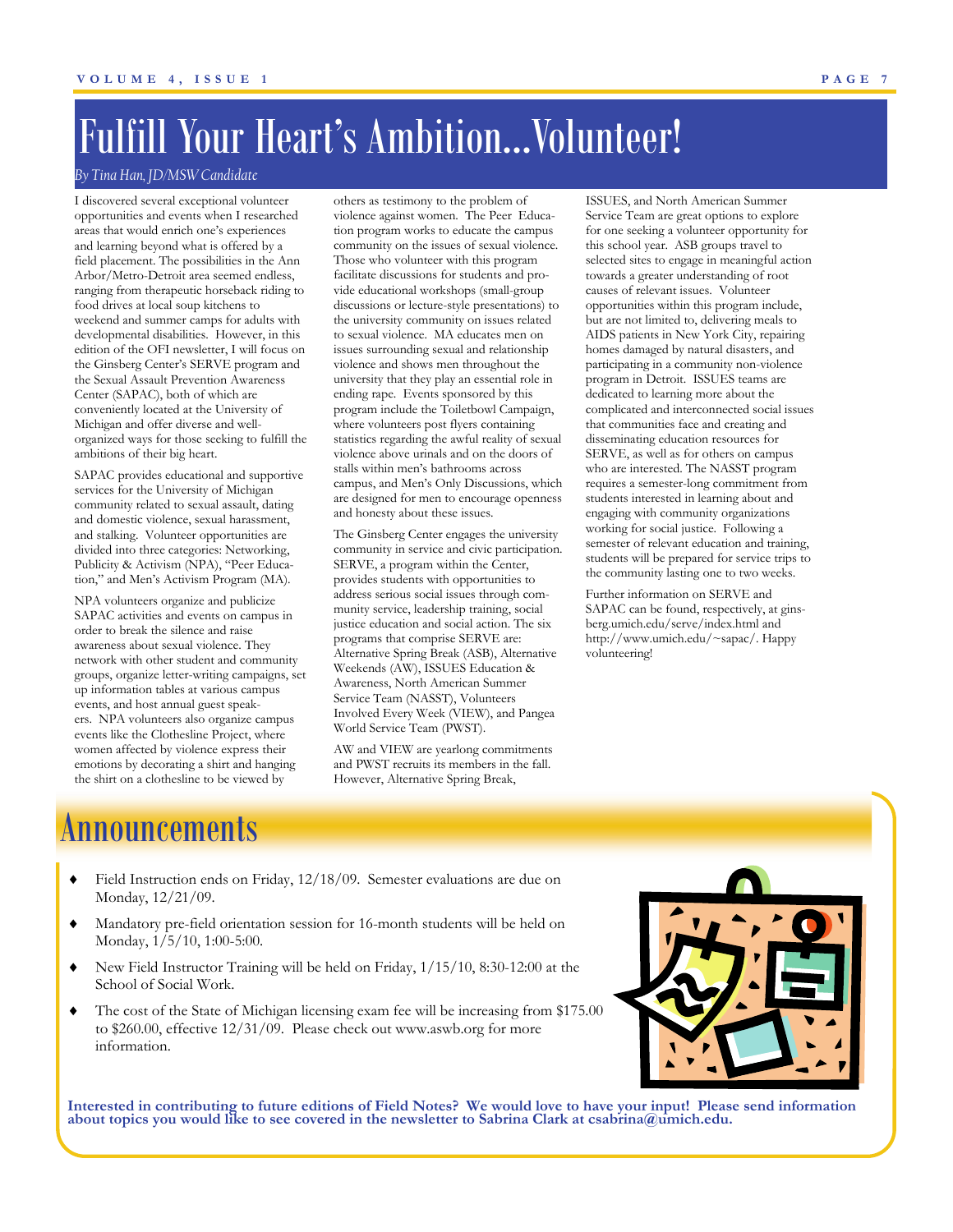## Fulfill Your Heart's Ambition...Volunteer!

### *By Tina Han, JD/MSW Candidate*

I discovered several exceptional volunteer opportunities and events when I researched areas that would enrich one's experiences and learning beyond what is offered by a field placement. The possibilities in the Ann Arbor/Metro-Detroit area seemed endless, ranging from therapeutic horseback riding to food drives at local soup kitchens to weekend and summer camps for adults with developmental disabilities. However, in this edition of the OFI newsletter, I will focus on the Ginsberg Center's SERVE program and the Sexual Assault Prevention Awareness Center (SAPAC), both of which are conveniently located at the University of Michigan and offer diverse and wellorganized ways for those seeking to fulfill the ambitions of their big heart.

SAPAC provides educational and supportive services for the University of Michigan community related to sexual assault, dating and domestic violence, sexual harassment, and stalking. Volunteer opportunities are divided into three categories: Networking, Publicity & Activism (NPA), "Peer Education," and Men's Activism Program (MA).

NPA volunteers organize and publicize SAPAC activities and events on campus in order to break the silence and raise awareness about sexual violence. They network with other student and community groups, organize letter-writing campaigns, set up information tables at various campus events, and host annual guest speakers. NPA volunteers also organize campus events like the Clothesline Project, where women affected by violence express their emotions by decorating a shirt and hanging the shirt on a clothesline to be viewed by

others as testimony to the problem of violence against women. The Peer Education program works to educate the campus community on the issues of sexual violence. Those who volunteer with this program facilitate discussions for students and provide educational workshops (small-group discussions or lecture-style presentations) to the university community on issues related to sexual violence. MA educates men on issues surrounding sexual and relationship violence and shows men throughout the university that they play an essential role in ending rape. Events sponsored by this program include the Toiletbowl Campaign, where volunteers post flyers containing statistics regarding the awful reality of sexual violence above urinals and on the doors of stalls within men's bathrooms across campus, and Men's Only Discussions, which are designed for men to encourage openness and honesty about these issues.

The Ginsberg Center engages the university community in service and civic participation. SERVE, a program within the Center, provides students with opportunities to address serious social issues through community service, leadership training, social justice education and social action. The six programs that comprise SERVE are: Alternative Spring Break (ASB), Alternative Weekends (AW), ISSUES Education & Awareness, North American Summer Service Team (NASST), Volunteers Involved Every Week (VIEW), and Pangea World Service Team (PWST).

AW and VIEW are yearlong commitments and PWST recruits its members in the fall. However, Alternative Spring Break,

ISSUES, and North American Summer Service Team are great options to explore for one seeking a volunteer opportunity for this school year. ASB groups travel to selected sites to engage in meaningful action towards a greater understanding of root causes of relevant issues. Volunteer opportunities within this program include, but are not limited to, delivering meals to AIDS patients in New York City, repairing homes damaged by natural disasters, and participating in a community non-violence program in Detroit. ISSUES teams are dedicated to learning more about the complicated and interconnected social issues that communities face and creating and disseminating education resources for SERVE, as well as for others on campus who are interested. The NASST program requires a semester-long commitment from students interested in learning about and engaging with community organizations working for social justice. Following a semester of relevant education and training, students will be prepared for service trips to the community lasting one to two weeks.

Further information on SERVE and SAPAC can be found, respectively, at ginsberg.umich.edu/serve/index.html and http://www.umich.edu/~sapac/. Happy volunteering!

### Announcements

- Field Instruction ends on Friday, 12/18/09. Semester evaluations are due on Monday, 12/21/09.
- Mandatory pre-field orientation session for 16-month students will be held on Monday, 1/5/10, 1:00-5:00.
- New Field Instructor Training will be held on Friday, 1/15/10, 8:30-12:00 at the School of Social Work.
- The cost of the State of Michigan licensing exam fee will be increasing from \$175.00 to \$260.00, effective 12/31/09. Please check out www.aswb.org for more information.



Interested in contributing to future editions of Field Notes? We would love to have your input! Please send information about topics you would like to see covered in the newsletter to Sabrina Clark at csabrina@umich.edu.